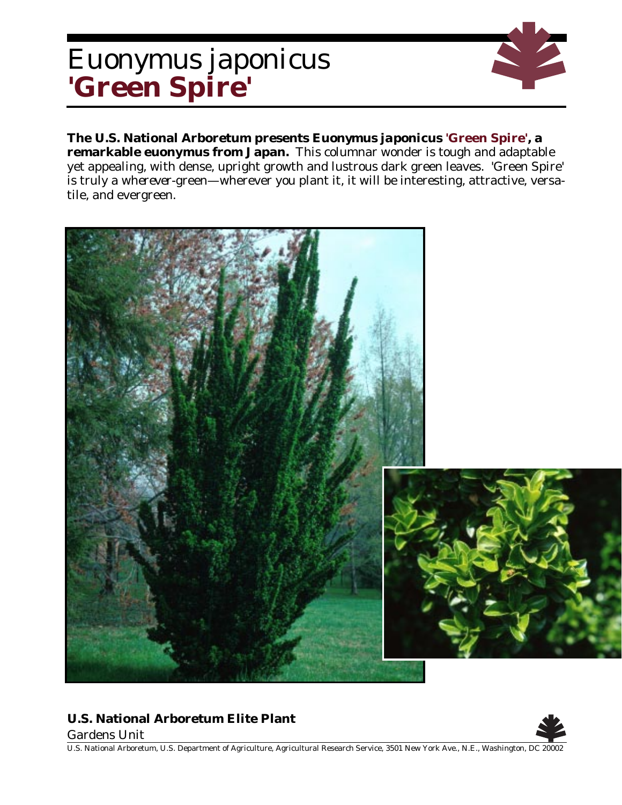## *Euonymus japonicus* **'Green Spire'**

**The U.S. National Arboretum presents** *Euonymus japonicus* **'Green Spire', a remarkable euonymus from Japan.** This columnar wonder is tough and adaptable yet appealing, with dense, upright growth and lustrous dark green leaves. 'Green Spire' is truly a *wherever*-green—wherever you plant it, it will be interesting, attractive, versatile, and evergreen.



## **U.S. National Arboretum Elite Plant**

Gardens Unit



U.S. National Arboretum, U.S. Department of Agriculture, Agricultural Research Service, 3501 New York Ave., N.E., Washington, DC 20002